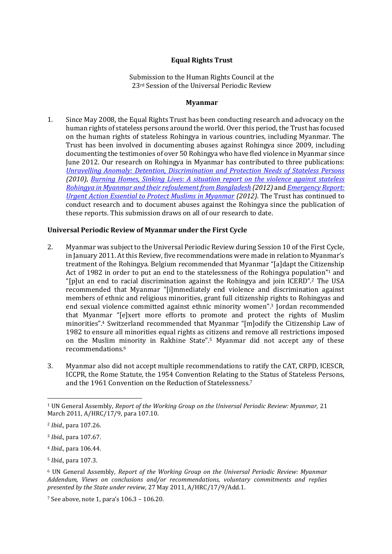# **Equal Rights Trust**

Submission to the Human Rights Council at the 23rd Session of the Universal Periodic Review

#### **Myanmar**

1. Since May 2008, the Equal Rights Trust has been conducting research and advocacy on the human rights of stateless persons around the world. Over this period, the Trust has focused on the human rights of stateless Rohingya in various countries, including Myanmar. The Trust has been involved in documenting abuses against Rohingya since 2009, including documenting the testimonies of over 50 Rohingya who have fled violence in Myanmar since June 2012. Our research on Rohingya in Myanmar has contributed to three publications: *Unravelling Anomaly: [Detention, Discrimination and Protection Needs of Stateless Persons](http://www.equalrightstrust.org/ertdocumentbank/UNRAVELLING%20ANOMALY%20small%20file.pdf) (2010)*, *Burning Homes, [Sinking Lives: A situation report on the violence against stateless](http://www.equalrightstrust.org/ertdocumentbank/The%20Equal%20Rights%20Trust%20-%20Burning%20Homes%20Sinking%20Lives.pdf)  Rohingya in Myanmar and [their refoulement from Bangladesh](http://www.equalrightstrust.org/ertdocumentbank/The%20Equal%20Rights%20Trust%20-%20Burning%20Homes%20Sinking%20Lives.pdf) (2012)* and *[Emergency Report:](http://www.equalrightstrust.org/ertdocumentbank/Rohingya_Emergency_Report.pdf)  [Urgent Action Essential to Protect Muslims in Myanmar](http://www.equalrightstrust.org/ertdocumentbank/Rohingya_Emergency_Report.pdf) (2012).* The Trust has continued to conduct research and to document abuses against the Rohingya since the publication of these reports. This submission draws on all of our research to date.

## **Universal Periodic Review of Myanmar under the First Cycle**

- 2. Myanmar was subject to the Universal Periodic Review during Session 10 of the First Cycle, in January 2011. At this Review, five recommendations were made in relation to Myanmar's treatment of the Rohingya. Belgium recommended that Myanmar "[a]dapt the Citizenship Act of 1982 in order to put an end to the statelessness of the Rohingya population"<sup>1</sup> and "[p]ut an end to racial discrimination against the Rohingya and join ICERD". <sup>2</sup> The USA recommended that Myanmar "[i]mmediately end violence and discrimination against members of ethnic and religious minorities, grant full citizenship rights to Rohingyas and end sexual violence committed against ethnic minority women". <sup>3</sup> Jordan recommended that Myanmar "[e]xert more efforts to promote and protect the rights of Muslim minorities". <sup>4</sup> Switzerland recommended that Myanmar "[m]odify the Citizenship Law of 1982 to ensure all minorities equal rights as citizens and remove all restrictions imposed on the Muslim minority in Rakhine State". <sup>5</sup> Myanmar did not accept any of these recommendations.<sup>6</sup>
- 3. Myanmar also did not accept multiple recommendations to ratify the CAT, CRPD, ICESCR, ICCPR, the Rome Statute, the 1954 Convention Relating to the Status of Stateless Persons, and the 1961 Convention on the Reduction of Statelessness.<sup>7</sup>

 $\overline{\phantom{a}}$ 

<sup>1</sup> UN General Assembly, *Report of the Working Group on the Universal Periodic Review: Myanmar,* 21 March 2011, A/HRC/17/9, para 107.10.

<sup>2</sup> *Ibid.,* para 107.26.

<sup>3</sup> *Ibid.,* para 107.67.

<sup>4</sup> *Ibid.,* para 106.44.

<sup>5</sup> *Ibid.,* para 107.3.

<sup>6</sup> UN General Assembly, *Report of the Working Group on the Universal Periodic Review: Myanmar Addendum, Views on conclusions and/or recommendations, voluntary commitments and replies presented by the State under review,* 27 May 2011, A/HRC/17/9/Add.1.

<sup>7</sup> See above, note 1, para's 106.3 – 106.20.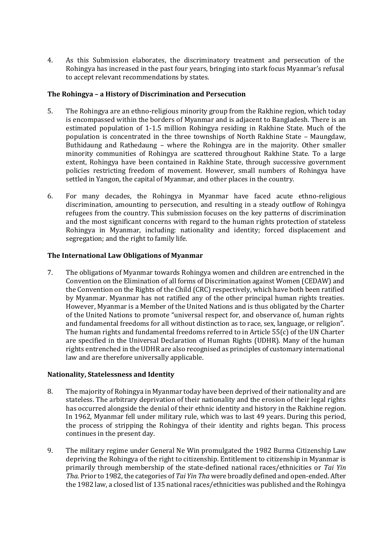4. As this Submission elaborates, the discriminatory treatment and persecution of the Rohingya has increased in the past four years, bringing into stark focus Myanmar's refusal to accept relevant recommendations by states.

# **The Rohingya – a History of Discrimination and Persecution**

- 5. The Rohingya are an ethno-religious minority group from the Rakhine region, which today is encompassed within the borders of Myanmar and is adjacent to Bangladesh. There is an estimated population of 1-1.5 million Rohingya residing in Rakhine State. Much of the population is concentrated in the three townships of North Rakhine State – Maungdaw, Buthidaung and Rathedaung – where the Rohingya are in the majority. Other smaller minority communities of Rohingya are scattered throughout Rakhine State. To a large extent, Rohingya have been contained in Rakhine State, through successive government policies restricting freedom of movement. However, small numbers of Rohingya have settled in Yangon, the capital of Myanmar, and other places in the country.
- 6. For many decades, the Rohingya in Myanmar have faced acute ethno-religious discrimination, amounting to persecution, and resulting in a steady outflow of Rohingya refugees from the country. This submission focuses on the key patterns of discrimination and the most significant concerns with regard to the human rights protection of stateless Rohingya in Myanmar, including: nationality and identity; forced displacement and segregation; and the right to family life.

## **The International Law Obligations of Myanmar**

7. The obligations of Myanmar towards Rohingya women and children are entrenched in the Convention on the Elimination of all forms of Discrimination against Women (CEDAW) and the Convention on the Rights of the Child (CRC) respectively, which have both been ratified by Myanmar. Myanmar has not ratified any of the other principal human rights treaties. However, Myanmar is a Member of the United Nations and is thus obligated by the Charter of the United Nations to promote "universal respect for, and observance of, human rights and fundamental freedoms for all without distinction as to race, sex, language, or religion". The human rights and fundamental freedoms referred to in Article 55(c) of the UN Charter are specified in the Universal Declaration of Human Rights (UDHR). Many of the human rights entrenched in the UDHR are also recognised as principles of customary international law and are therefore universally applicable.

## **Nationality, Statelessness and Identity**

- 8. The majority of Rohingya in Myanmar today have been deprived of their nationality and are stateless. The arbitrary deprivation of their nationality and the erosion of their legal rights has occurred alongside the denial of their ethnic identity and history in the Rakhine region. In 1962, Myanmar fell under military rule, which was to last 49 years. During this period, the process of stripping the Rohingya of their identity and rights began. This process continues in the present day.
- 9. The military regime under General Ne Win promulgated the 1982 Burma Citizenship Law depriving the Rohingya of the right to citizenship. Entitlement to citizenship in Myanmar is primarily through membership of the state-defined national races/ethnicities or *Tai Yin Tha.* Prior to 1982, the categories of *Tai Yin Tha* were broadly defined and open-ended. After the 1982 law, a closed list of 135 national races/ethnicities was published and the Rohingya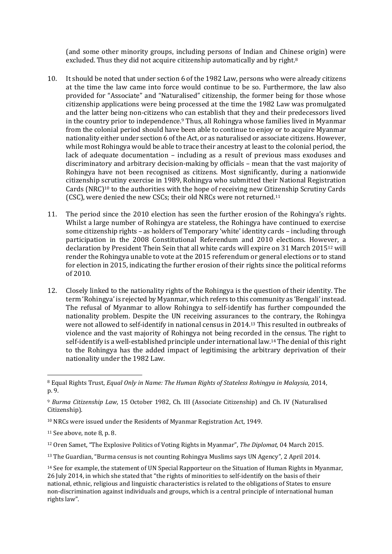(and some other minority groups, including persons of Indian and Chinese origin) were excluded. Thus they did not acquire citizenship automatically and by right.<sup>8</sup>

- 10. It should be noted that under section 6 of the 1982 Law, persons who were already citizens at the time the law came into force would continue to be so. Furthermore, the law also provided for "Associate" and "Naturalised" citizenship, the former being for those whose citizenship applications were being processed at the time the 1982 Law was promulgated and the latter being non-citizens who can establish that they and their predecessors lived in the country prior to independence.<sup>9</sup> Thus, all Rohingya whose families lived in Myanmar from the colonial period should have been able to continue to enjoy or to acquire Myanmar nationality either under section 6 of the Act, or as naturalised or associate citizens. However, while most Rohingya would be able to trace their ancestry at least to the colonial period, the lack of adequate documentation – including as a result of previous mass exoduses and discriminatory and arbitrary decision-making by officials – mean that the vast majority of Rohingya have not been recognised as citizens. Most significantly, during a nationwide citizenship scrutiny exercise in 1989, Rohingya who submitted their National Registration Cards (NRC)<sup>10</sup> to the authorities with the hope of receiving new Citizenship Scrutiny Cards (CSC), were denied the new CSCs; their old NRCs were not returned.<sup>11</sup>
- 11. The period since the 2010 election has seen the further erosion of the Rohingya's rights. Whilst a large number of Rohingya are stateless, the Rohingya have continued to exercise some citizenship rights – as holders of Temporary 'white' identity cards – including through participation in the 2008 Constitutional Referendum and 2010 elections. However, a declaration by President Thein Sein that all white cards will expire on 31 March 2015<sup>12</sup> will render the Rohingya unable to vote at the 2015 referendum or general elections or to stand for election in 2015, indicating the further erosion of their rights since the political reforms of 2010.
- 12. Closely linked to the nationality rights of the Rohingya is the question of their identity. The term 'Rohingya' is rejected by Myanmar, which refers to this community as 'Bengali' instead. The refusal of Myanmar to allow Rohingya to self-identify has further compounded the nationality problem. Despite the UN receiving assurances to the contrary, the Rohingya were not allowed to self-identify in national census in 2014. <sup>13</sup> This resulted in outbreaks of violence and the vast majority of Rohingya not being recorded in the census. The right to self-identify is a well-established principle under international law.<sup>14</sup> The denial of this right to the Rohingya has the added impact of legitimising the arbitrary deprivation of their nationality under the 1982 Law.

**<sup>.</sup>** <sup>8</sup> Equal Rights Trust, *Equal Only in Name: The Human Rights of Stateless Rohingya in Malaysia,* 2014, p. 9.

<sup>9</sup> *Burma Citizenship Law*, 15 October 1982, Ch. III (Associate Citizenship) and Ch. IV (Naturalised Citizenship).

<sup>10</sup> NRCs were issued under the Residents of Myanmar Registration Act, 1949.

<sup>11</sup> See above, note 8, p. 8.

<sup>12</sup> Oren Samet, "The Explosive Politics of Voting Rights in Myanmar", *The Diplomat,* 04 March 2015.

<sup>13</sup> The Guardian, "Burma census is not counting Rohingya Muslims says UN Agency"*,* 2 April 2014.

<sup>14</sup> See for example, the statement of UN Special Rapporteur on the Situation of Human Rights in Myanmar, 26 July 2014, in which she stated that "the rights of minorities to self-identify on the basis of their national, ethnic, religious and linguistic characteristics is related to the obligations of States to ensure non-discrimination against individuals and groups, which is a central principle of international human rights law".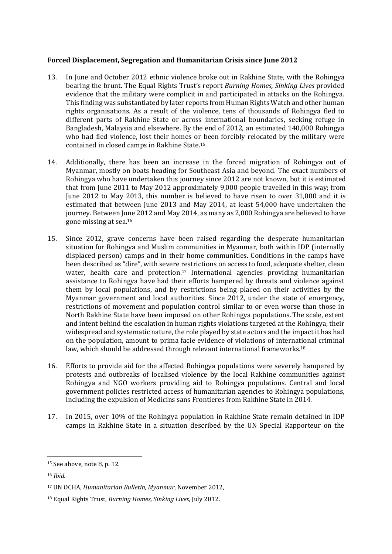## **Forced Displacement, Segregation and Humanitarian Crisis since June 2012**

- 13. In June and October 2012 ethnic violence broke out in Rakhine State, with the Rohingya bearing the brunt. The Equal Rights Trust's report *Burning Homes, Sinking Lives* provided evidence that the military were complicit in and participated in attacks on the Rohingya. This finding was substantiated by later reports from Human Rights Watch and other human rights organisations. As a result of the violence, tens of thousands of Rohingya fled to different parts of Rakhine State or across international boundaries, seeking refuge in Bangladesh, Malaysia and elsewhere. By the end of 2012, an estimated 140,000 Rohingya who had fled violence, lost their homes or been forcibly relocated by the military were contained in closed camps in Rakhine State.<sup>15</sup>
- 14. Additionally, there has been an increase in the forced migration of Rohingya out of Myanmar, mostly on boats heading for Southeast Asia and beyond. The exact numbers of Rohingya who have undertaken this journey since 2012 are not known, but it is estimated that from June 2011 to May 2012 approximately 9,000 people travelled in this way; from June 2012 to May 2013, this number is believed to have risen to over 31,000 and it is estimated that between June 2013 and May 2014, at least 54,000 have undertaken the journey. Between June 2012 and May 2014, as many as 2,000 Rohingya are believed to have gone missing at sea.<sup>16</sup>
- 15. Since 2012, grave concerns have been raised regarding the desperate humanitarian situation for Rohingya and Muslim communities in Myanmar, both within IDP (internally displaced person) camps and in their home communities. Conditions in the camps have been described as "dire", with severe restrictions on access to food, adequate shelter, clean water, health care and protection.<sup>17</sup> International agencies providing humanitarian assistance to Rohingya have had their efforts hampered by threats and violence against them by local populations, and by restrictions being placed on their activities by the Myanmar government and local authorities. Since 2012, under the state of emergency, restrictions of movement and population control similar to or even worse than those in North Rakhine State have been imposed on other Rohingya populations. The scale, extent and intent behind the escalation in human rights violations targeted at the Rohingya, their widespread and systematic nature, the role played by state actors and the impact it has had on the population, amount to prima facie evidence of violations of international criminal law, which should be addressed through relevant international frameworks.<sup>18</sup>
- 16. Efforts to provide aid for the affected Rohingya populations were severely hampered by protests and outbreaks of localised violence by the local Rakhine communities against Rohingya and NGO workers providing aid to Rohingya populations. Central and local government policies restricted access of humanitarian agencies to Rohingya populations, including the expulsion of Medicins sans Frontieres from Rakhine State in 2014.
- 17. In 2015, over 10% of the Rohingya population in Rakhine State remain detained in IDP camps in Rakhine State in a situation described by the UN Special Rapporteur on the

1

<sup>15</sup> See above, note 8, p. 12.

<sup>16</sup> *Ibid.*

<sup>17</sup> UN OCHA, *Humanitarian Bulletin, Myanmar*, November 2012,

<sup>18</sup> Equal Rights Trust, *Burning Homes, Sinking Lives,* July 2012.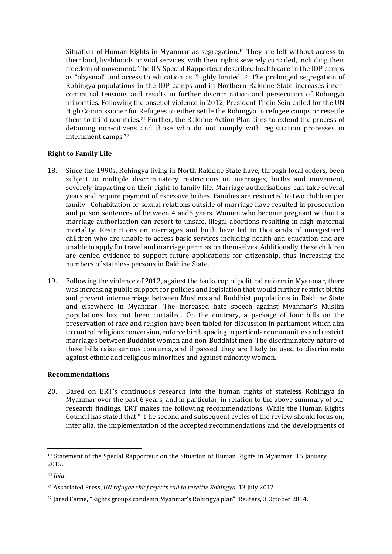Situation of Human Rights in Myanmar as segregation. <sup>19</sup> They are left without access to their land, livelihoods or vital services, with their rights severely curtailed, including their freedom of movement. The UN Special Rapporteur described health care in the IDP camps as "abysmal" and access to education as "highly limited".<sup>20</sup> The prolonged segregation of Rohingya populations in the IDP camps and in Northern Rakhine State increases intercommunal tensions and results in further discrimination and persecution of Rohingya minorities. Following the onset of violence in 2012, President Thein Sein called for the UN High Commissioner for Refugees to either settle the Rohingya in refugee camps or resettle them to third countries.<sup>21</sup> Further, the Rakhine Action Plan aims to extend the process of detaining non-citizens and those who do not comply with registration processes in internment camps.<sup>22</sup>

## **Right to Family Life**

- 18. Since the 1990s, Rohingya living in North Rakhine State have, through local orders, been subject to multiple discriminatory restrictions on marriages, births and movement, severely impacting on their right to family life. Marriage authorisations can take several years and require payment of excessive bribes. Families are restricted to two children per family. Cohabitation or sexual relations outside of marriage have resulted in prosecution and prison sentences of between 4 and5 years. Women who become pregnant without a marriage authorisation can resort to unsafe, illegal abortions resulting in high maternal mortality. Restrictions on marriages and birth have led to thousands of unregistered children who are unable to access basic services including health and education and are unable to apply for travel and marriage permission themselves. Additionally, these children are denied evidence to support future applications for citizenship, thus increasing the numbers of stateless persons in Rakhine State.
- 19. Following the violence of 2012, against the backdrop of political reform in Myanmar, there was increasing public support for policies and legislation that would further restrict births and prevent intermarriage between Muslims and Buddhist populations in Rakhine State and elsewhere in Myanmar. The increased hate speech against Myanmar's Muslim populations has not been curtailed. On the contrary, a package of four bills on the preservation of race and religion have been tabled for discussion in parliament which aim to control religious conversion, enforce birth spacing in particular communities and restrict marriages between Buddhist women and non-Buddhist men. The discriminatory nature of these bills raise serious concerns, and if passed, they are likely be used to discriminate against ethnic and religious minorities and against minority women.

## **Recommendations**

20. Based on ERT's continuous research into the human rights of stateless Rohingya in Myanmar over the past 6 years, and in particular, in relation to the above summary of our research findings, ERT makes the following recommendations. While the Human Rights Council has stated that "[t]he second and subsequent cycles of the review should focus on, inter alia, the implementation of the accepted recommendations and the developments of

**.** 

 $19$  Statement of the Special Rapporteur on the Situation of Human Rights in Myanmar, 16 January 2015.

<sup>20</sup> *Ibid*.

<sup>21</sup> Associated Press, *UN refugee chief rejects call to resettle Rohingya,* 13 July 2012.

<sup>22</sup> Jared Ferrie, "Rights groups condemn Myanmar's Rohingya plan", Reuters, 3 October 2014.